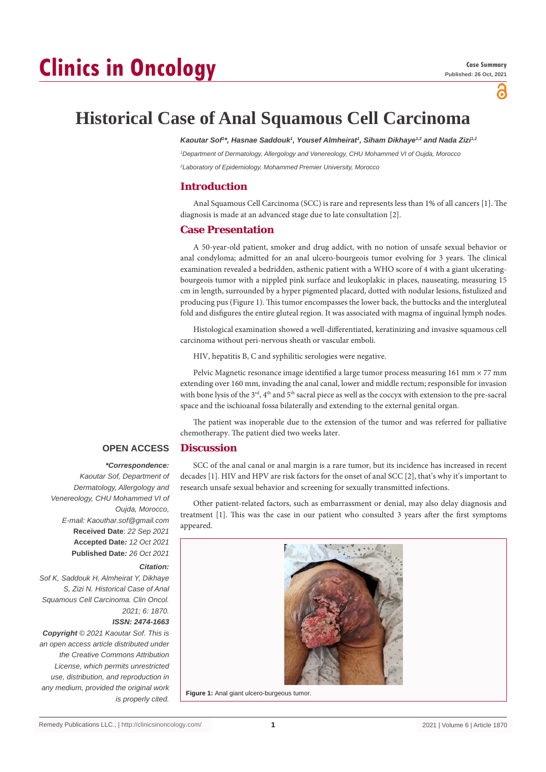# **Clinics in Oncology**

õ

# **Historical Case of Anal Squamous Cell Carcinoma**

Kaoutar Sof<sup>1\*</sup>, Hasnae Saddouk<sup>1</sup>, Yousef Almheirat<sup>1</sup>, Siham Dikhaye<sup>1,2</sup> and Nada Zizi<sup>1,2</sup>

*1 Department of Dermatology, Allergology and Venereology, CHU Mohammed VI of Oujda, Morocco 2 Laboratory of Epidemiology, Mohammed Premier University, Morocco*

## **Introduction**

Anal Squamous Cell Carcinoma (SCC) is rare and represents less than 1% of all cancers [1]. The diagnosis is made at an advanced stage due to late consultation [2].

## **Case Presentation**

A 50-year-old patient, smoker and drug addict, with no notion of unsafe sexual behavior or anal condyloma; admitted for an anal ulcero-bourgeois tumor evolving for 3 years. The clinical examination revealed a bedridden, asthenic patient with a WHO score of 4 with a giant ulceratingbourgeois tumor with a nippled pink surface and leukoplakic in places, nauseating, measuring 15 cm in length, surrounded by a hyper pigmented placard, dotted with nodular lesions, fistulized and producing pus (Figure 1). This tumor encompasses the lower back, the buttocks and the intergluteal fold and disfigures the entire gluteal region. It was associated with magma of inguinal lymph nodes.

Histological examination showed a well-differentiated, keratinizing and invasive squamous cell carcinoma without peri-nervous sheath or vascular emboli.

HIV, hepatitis B, C and syphilitic serologies were negative.

Pelvic Magnetic resonance image identified a large tumor process measuring 161 mm × 77 mm extending over 160 mm, invading the anal canal, lower and middle rectum; responsible for invasion with bone lysis of the 3<sup>rd</sup>, 4<sup>th</sup> and 5<sup>th</sup> sacral piece as well as the coccyx with extension to the pre-sacral space and the ischioanal fossa bilaterally and extending to the external genital organ.

The patient was inoperable due to the extension of the tumor and was referred for palliative chemotherapy. The patient died two weeks later.

#### **OPEN ACCESS Discussion**

### *\*Correspondence:*

*Kaoutar Sof, Department of Dermatology, Allergology and Venereology, CHU Mohammed VI of Oujda, Morocco, E-mail: Kaouthar.sof@gmail.com* **Received Date**: *22 Sep 2021* **Accepted Date***: 12 Oct 2021* **Published Date***: 26 Oct 2021*

### *Citation:*

*Sof K, Saddouk H, Almheirat Y, Dikhaye S, Zizi N. Historical Case of Anal Squamous Cell Carcinoma. Clin Oncol. 2021; 6: 1870. ISSN: 2474-1663*

*Copyright © 2021 Kaoutar Sof. This is an open access article distributed under the Creative Commons Attribution License, which permits unrestricted use, distribution, and reproduction in any medium, provided the original work is properly cited.*

SCC of the anal canal or anal margin is a rare tumor, but its incidence has increased in recent decades [1]. HIV and HPV are risk factors for the onset of anal SCC [2], that's why it's important to research unsafe sexual behavior and screening for sexually transmitted infections.

Other patient-related factors, such as embarrassment or denial, may also delay diagnosis and treatment [1]. This was the case in our patient who consulted 3 years after the first symptoms appeared.



**Figure 1:** Anal giant ulcero-burgeous tumor.